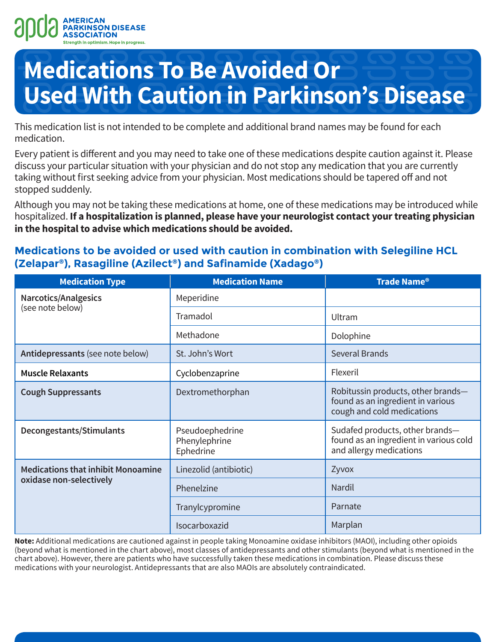

# **Medications To Be Avoided Or Used With Caution in Parkinson's Disease**

This medication list is not intended to be complete and additional brand names may be found for each medication.

Every patient is different and you may need to take one of these medications despite caution against it. Please discuss your particular situation with your physician and do not stop any medication that you are currently taking without first seeking advice from your physician. Most medications should be tapered off and not stopped suddenly.

Although you may not be taking these medications at home, one of these medications may be introduced while hospitalized. **If a hospitalization is planned, please have your neurologist contact your treating physician in the hospital to advise which medications should be avoided.**

### **Medications to be avoided or used with caution in combination with Selegiline HCL (Zelapar®), Rasagiline (Azilect®) and Safinamide (Xadago®)**

| <b>Medication Type</b>                                               | <b>Medication Name</b>                        | <b>Trade Name®</b>                                                                                    |  |
|----------------------------------------------------------------------|-----------------------------------------------|-------------------------------------------------------------------------------------------------------|--|
| <b>Narcotics/Analgesics</b><br>(see note below)                      | Meperidine                                    |                                                                                                       |  |
|                                                                      | Tramadol                                      | Ultram                                                                                                |  |
|                                                                      | Methadone                                     | Dolophine                                                                                             |  |
| Antidepressants (see note below)                                     | St. John's Wort                               | <b>Several Brands</b>                                                                                 |  |
| <b>Muscle Relaxants</b>                                              | Cyclobenzaprine                               | Flexeril                                                                                              |  |
| <b>Cough Suppressants</b>                                            | Dextromethorphan                              | Robitussin products, other brands-<br>found as an ingredient in various<br>cough and cold medications |  |
| Decongestants/Stimulants                                             | Pseudoephedrine<br>Phenylephrine<br>Ephedrine | Sudafed products, other brands-<br>found as an ingredient in various cold<br>and allergy medications  |  |
| <b>Medications that inhibit Monoamine</b><br>oxidase non-selectively | Linezolid (antibiotic)                        | Zyvox                                                                                                 |  |
|                                                                      | Phenelzine                                    | Nardil                                                                                                |  |
|                                                                      | Tranylcypromine                               | Parnate                                                                                               |  |
|                                                                      | Isocarboxazid                                 | Marplan                                                                                               |  |

**Note:** Additional medications are cautioned against in people taking Monoamine oxidase inhibitors (MAOI), including other opioids (beyond what is mentioned in the chart above), most classes of antidepressants and other stimulants (beyond what is mentioned in the chart above). However, there are patients who have successfully taken these medications in combination. Please discuss these medications with your neurologist. Antidepressants that are also MAOIs are absolutely contraindicated.